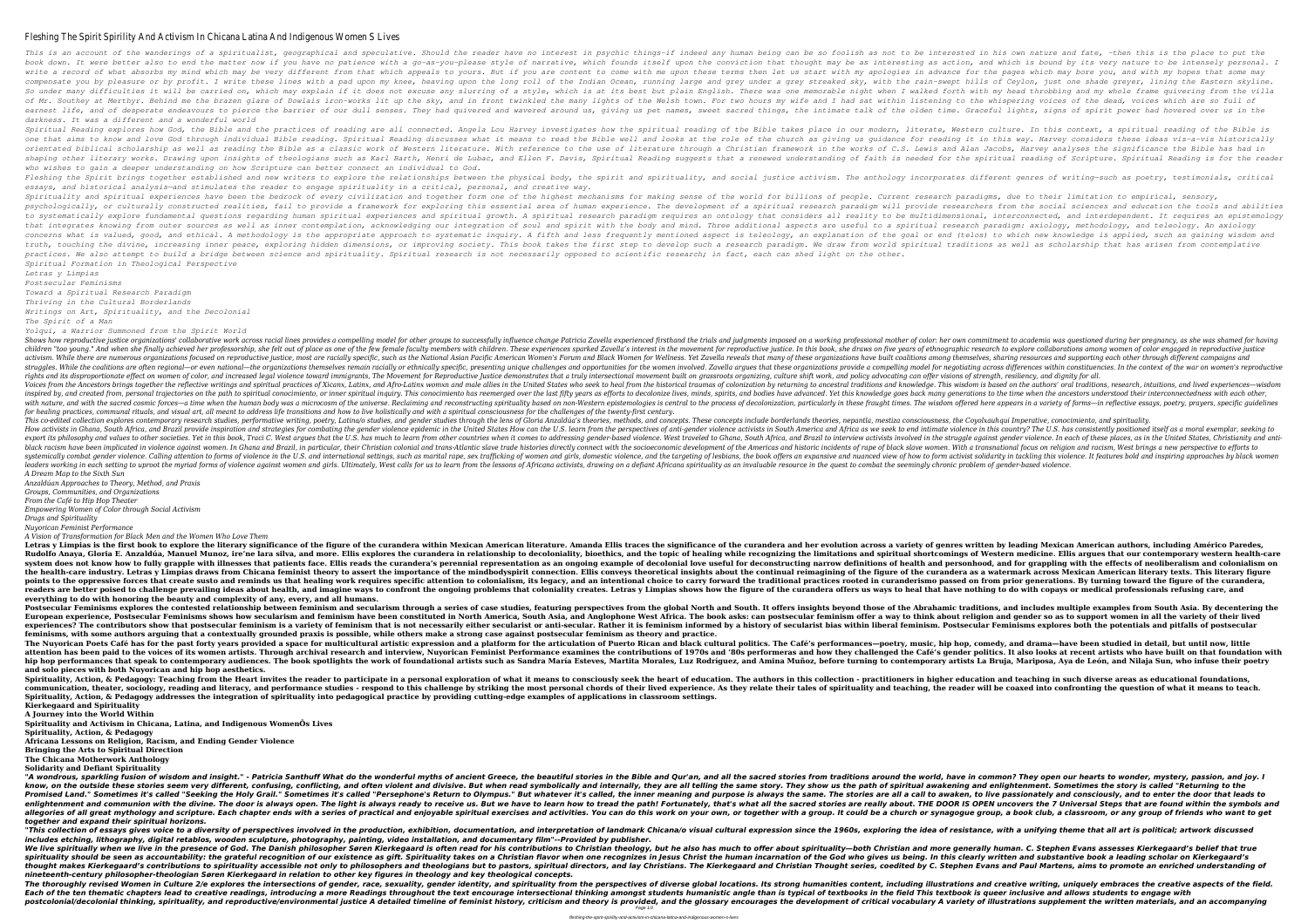### Fleshing The Spirit Spirility And Activism In Chicana Latina And Indig

This is an account of the wanderings of a spiritualist, geographical and speculative. Should the reader have no interested in his own nature and fate, then this is the place to put the book down. It were better also to end the matter now if you have no patience with a go-as-you-please style of narrative, which founds itself upon the conviction that thought may be as interesting as action, and which is bo write a record of what absorbs my mind which may be very different from that which appeals to yours. But if you are content to come with my apologies in advance for the pages which may bore you, and with my hopes that some compensate you by pleasure or by profit. I write these lines with a pad upon my knee, heaving upon the long roll of the Indian Ocean, running large and grey streaked sky, with the rain-swept hills of Ceylon, just one shade So under many difficulties it will be carried on, which may explain if it does not excuse any slurring of a style, which is at its best but plain English. There was one memorable night when I walked forth with my head thro of Mr. Southey at Merthyr. Behind me the brazen glare of Dowlais iron-works lit up the sky, and in front twinkled the many lights of the whispering volces of the dead, volces which are so full of earnest life, and of desperate endeavours to pierce the barrier of our dull senses. They had quivered and wavered and wavered around us, giving us pet names, sweet sacred things, the intimate talk of the olden time. Gracef *darkness. It was a different and a wonderful world*

Spiritual Reading explores how God, the Bible and the practices of reading are all connected. Angela Lou Harvey investigates how the spiritual reading of the spiritual reading of the Bible is one that aims to know and love God through individual Bible reading. Spiritual Reading discusses what it means to read the suidance for reading it in this way. Harvey considers these ideas vis-a-vis historically orientated biblical scholarship as well as reading the Bible as a classic work of Western literature. With reference to the use of literature through a Christian framework in the works of C.S. Lewis and Alan Jacobs, Harvey shaping other literary works. Drawing upon insights of theologians such as Karl Barth, Henri de Lubac, and Ellen F. Davis, Spiritual reading of sanggests that a renewed understanding of faith is needed for the spiritual re *who wishes to gain a deeper understanding on how Scripture can better connect an individual to God.* Fleshing the Spirit brings together established and new writers to explore the relationships between the physical body, the spirit and spirituality, and social justice activism. The anthology incorporates different genres *essays, and historical analysis—and stimulates the reader to engage spirituality in a critical, personal, and creative way.* Spirituality and spiritual experiences have been the bedrock of every civilization and together form one of the highest mechanisms for making sense of the world for billions of people. Current research paradigms, due to th psychologically, or culturally constructed realities, fail to provide a framework for exploring this essential area of human experience. The development of a spiritual researchers from the social sciences and education the to systematically explore fundamental questions regarding human spiritual experiences and spiritual growth. A spiritual research paradigm requires an ontology that considers all reality to be multidimensional, interconnect that integrates knowing from outer sources as well as inner contemplation, acknowledging our integration of soul and spirit with the body and mind. Three additional aspects are useful to a spiritual research paradigm: axio concerns what is valued, good, and ethical. A methodology is the appropriate approach to systematic inquiry. A fifth and less frequently mentioned aspect is teleology, an explanation of the goal or end (telos) to which new truth, touching the divine, increasing inner peace, exploring hidden dimensions, or improving society. This book takes the first step to develop such a research paradigm. We draw from world spiritual traditions as well as *practices. We also attempt to build a bridge between science and spirituality. Spiritual research is not necessarily opposed to scientific research; in fact, each can shed light on the other.*

*Spiritual Formation in Theological Perspective Letras y Limpias*

*Postsecular Feminisms*

*Toward a Spiritual Research Paradigm*

Shows how reproductive justice organizations' collaborative work across racial lines provides a compelling model for other groups to successfully influence change Patricia Zavella experienced firsthand the trials and judgm children "too young." And when she finally achieved her professorship, she felt out of place as one of the few female faculty members with children. These experiences sparked Zavella's interest in the movement for reproduc activism. While there are numerous organizations focused on reproductive iustice, most are racially specific, such as the National Asian Pacific American Women's Forum and Black Women's Forum and Black Women for Wellness. struggles. While the coalitions are often regional—or even national—the organizations themselves remain racially or ethnically specific, presenting across differences within constituencies. In the context of the war on wom rights and its disproportionate effect on women of color, and increased legal violence toward immigrants. The Movement for Reproductive Justice demonstrates that a truly intersectional movement built on grassroots organizi Voices from the Ancestors brings together the reflective writings and spiritual practices of Xicanx, Latinx, and Afro-Latinx womxn and male allies in the bistorical traumas of colonization by returning to ancestral traditi inspired by, and created from, personal trajectories on the path to spiritual conocimiento, or inner spiritual inquiry. This conocimiento has reemerged over the last fifty years as efforts to decolonize lives, minds, spiri with nature, and with the sacred cosmic forces—a time when the human body was a microcosm of the universe. Reclaiming and reconstructing spirituality based on non-Western epistemologies is central to the process of decolon *for healing practices, communal rituals, and visual art, all meant to address life transitions and how to live holistically and with a spiritual consciousness for the challenges of the twenty-first century.* This co-edited collection explores contemporary research studies, performative writing, poetry, Latina/o studies, and gender studies through the lens of Gloria Anzaldúa's theories, methods, and concepts include borderlands How activists in Ghana. South Africa, and Brazil provide inspiration and strategies for combatina the aender violence epidemic in the United States How can the U.S. learn from the perspectives of anti-aender violence in th export its philosophy and values to other societies. Yet in this book, Traci C. West argues that the U.S. has much to learn from other countries when it comes to addressing gender-based violence. West traveled to Ghana, So black racism have been implicated in violence against women. In Ghana and Brazil, in particular, their Christian colonial and trans-Atlantic slave women. With a transnational focus on religion and racism, West brings a new systemically combat gender violence. Calling attention to forms of violence in the U.S. and international settings, such as marital rape, sex trafficking of lesbians, the book offers an expansive and nuanced view of how to leaders working in each setting to uproot the myriad forms of violence against women and girls. Ultimately, West calls for us to learn from the lessons of Africana spirituality as an invaluable resource in the quest to com *A Dream Map to the Sixth Sun*

*Thriving in the Cultural Borderlands*

*Writings on Art, Spirituality, and the Decolonial*

*The Spirit of a Man*

*Yolqui, a Warrior Summoned from the Spirit World*

Letras y Limpias is the first book to explore the literary significance of the figure of the curandera within Mexican American literature. Amanda Ellis traces the significance of the curandera and her evolution across a va Rudolfo Anava, Gloria E. Anzaldúa, Manuel Munoz, ire'ne lara silva, and more. Ellis explores the curandera in relationship to decoloniality, bioethics, and the topic of healing while recognizing the limitations and spiritu system does not know how to fully grapple with illnesses that patients face. Ellis reads the curandera's perennial representation as an ongoing example of decolonial love useful for deconstructing narrow definitions of hea the health-care industry. Letras y Limpias draws from Chicana feminist theory to assert the importance of the mindbodyspirit connection. Ellis conveys theoretical insights about the continual reimagining of the figure of t points to the oppressive forces that create susto and reminds us that healing work requires specific attention to colonialism, its legacy, and an intentional practices rooted in curanderismo passed on from prior generation readers are better poised to challenge prevailing ideas about health, and imagine ways to confront the ongoing problems that coloniality creates. Letras y Limpias shows how the figure of the curandera offers us ways to hea **everything to do with honoring the beauty and complexity of any, every, and all humans.**

Postsecular Feminisms explores the contested relationship between feminism and secularism through a series of case studies, featuring perspectives from the global North and South. It offers insights beyond those of the Abr European experience, Postsecular Feminisms shows how secularism and feminism have been constituted in North America, South Asia, and Anglophone West Africa. The book asks: can postsecular feminism offer a wav to think abou experiences? The contributors show that postsecular feminism is a variety of feminism that is not necessarily either secularist or anti-secular. Rather it is feminism. Postsecular Feminisms explores both the potentials and **feminisms, with some authors arguing that a contextually grounded praxis is possible, while others make a strong case against postsecular feminism as theory and practice.** The Nuyorican Poets Café has for the past forty years provided a space for multicultural artistic expression and a platform for the articulation of Puerto Rican and black cultural politics. The Café's performances—poetry, attention has been paid to the voices of its women artists. Through archival research and interview, Nuyorican Feminist Performance examines the contributions of 1970s and '80s performance examines the contributions of 197 hip hop performances that speak to contemporary audiences. The book spotlights the work of foundational artists such as Sandra María Esteves, Martita Morales, Luz Rodríguez, and Amina Muñoz, before turning to contemporary **and solo pieces with both Nuyorican and hip hop aesthetics.**

Spirituality, Action, & Pedagogy: Teaching from the Heart invites the reader to participate in a personal exploration of what it means to consciously seek the heart of education. The authors in higher education and teachin communication, theater, sociology, reading and literacy, and performance studies - respond to this challenge by striking the most personal chords of their lived experience. As they relate their tales of spirituality and te **Spirituality, Action, & Pedagogy addresses the integration of spirituality into pedagogical practice by providing cutting-edge examples of applications in classroom settings. Kierkegaard and Spirituality**

"A wondrous, sparkling fusion of wisdom and insight." - Patricia Santhuff What do the wonderful myths of ancient Greece, the beautiful stories in the Bible and Qur'an, and all the sacred stories from traditions around the know, on the outside these stories seem very different, confusing, conflicting, and often violent and divisive. But when read symbolically and internally, they are all telling the same story. They show us the path of spiri Promised Land." Sometimes it's called "Seeking the Holy Grail." Sometimes it's called "Persephone's Return to Olympus." But whatever it's called, the inner meaning and purpose is always the same. The stories are all a call enlightenment and communion with the divine. The door is always open. The light is always ready to receive us. But we have to learn how to tread the path! Fortunately, that's what all the sacred stories are really about. T allegories of all great mythology and scripture. Each chapter ends with a series of practical and enjoyable spiritual exercises and activities. You can do this work on your own, or together with a group, a book club, a boo *together and expand their spiritual horizons.*

"This collection of essays gives voice to a diversity of perspectives involved in the production, exhibition, documentation, and interpretation of landmark Chicana/o visual cultural expression since the 1960s, exploring th *includes etching, lithography, digital retablos, wooden sculpture, photography, painting, video installation, and documentary film"--Provided by publisher.* We live spiritually when we live in the presence of God. The Danish philosopher Søren Kierkegaard is often read for his contributions to Christian and more generally human. C. Stephen Evans assesses Kierkegaard's belief th spirituality should be seen as accountability: the grateful recognition of our existence as gift. Spirituality takes on a Christian flavor when one recognizes in Jesus Christ the human incarnation of the God who gives us b thought makes Kierkegaard's contributions to spirituality accessible not only to philosophers and theologians but to pastors, spiritual directors, and lay Christians. The Kierkegaard and Christians but to pastors, spiritua *nineteenth-century philosopher-theologian Søren Kierkegaard in relation to other key figures in theology and key theological concepts.* The thoroughly revised Women in Culture 2/e explores the intersections of gender, race, sexuality, gender identity, and spirituality from the perspectives of diverse global locations. Its strong humanities content, includi Each of the ten thematic chapters lead to creative readings, introducing a more Readings throughout the text encourage intersectional thinking amongst students humanistic angle than is typical of textbooks in the field Thi postcolonial/decolonial thinking, spirituality, and reproductive/environmental justice A detailed timeline of feminist history, criticism and theory is provided, and the glossary encourages the development of criticism and Page 1/3

*Anzaldúan Approaches to Theory, Method, and Praxis*

*Groups, Communities, and Organizations*

*From the Café to Hip Hop Theater*

*Empowering Women of Color through Social Activism*

*Drugs and Spirituality*

*Nuyorican Feminist Performance*

*A Vision of Transformation for Black Men and the Women Who Love Them*

**A Journey into the World Within**

**Spirituality and Activism in Chicana, Latina, and Indigenous WomenÕs Lives**

**Spirituality, Action, & Pedagogy**

**Africana Lessons on Religion, Racism, and Ending Gender Violence**

**Bringing the Arts to Spiritual Direction**

**The Chicana Motherwork Anthology**

**Solidarity and Defiant Spirituality**

fleshing-the-spirit-spirility-and-activism-in-chicana-latina-and-indigenous-women-s-lives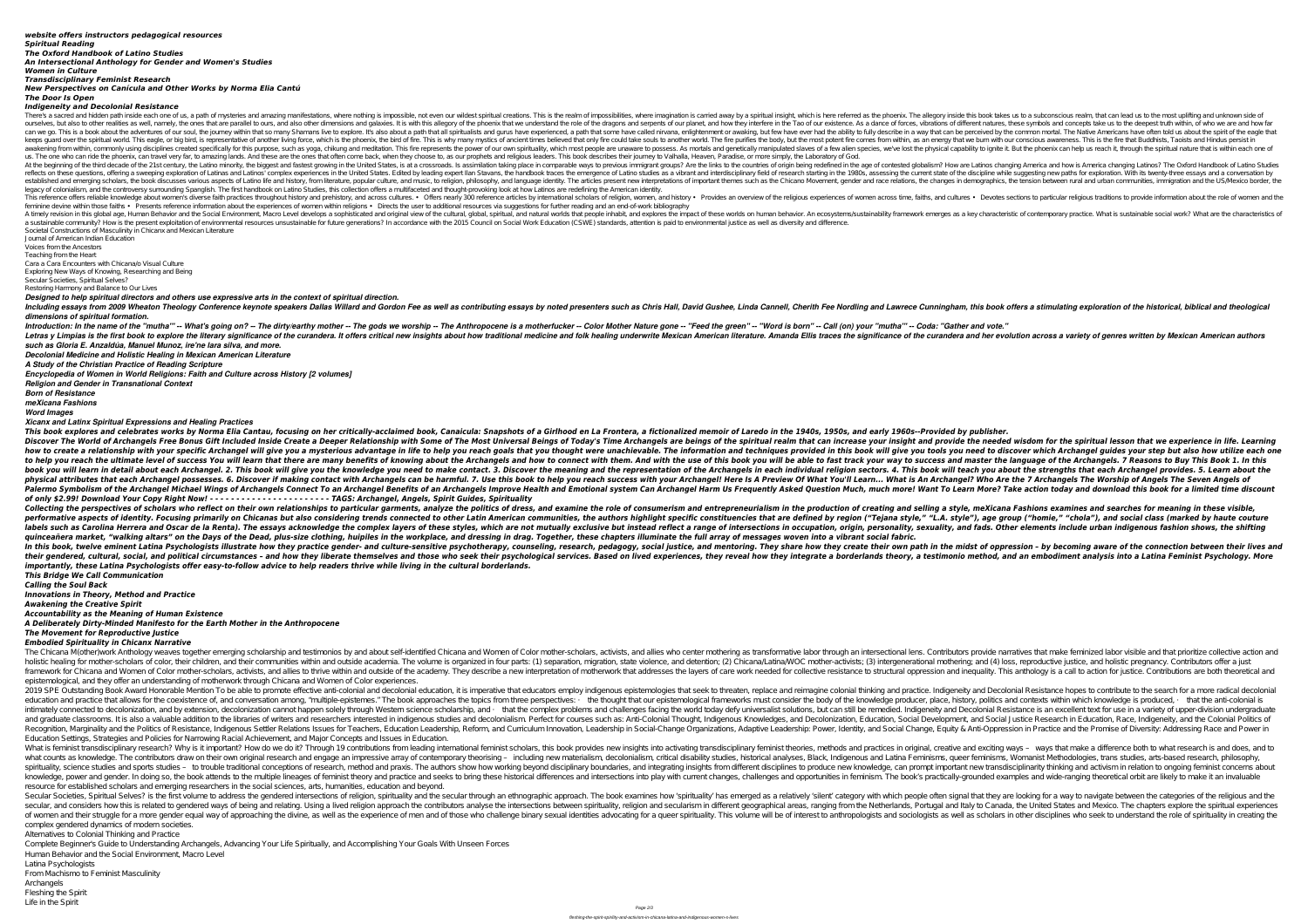### *website offers instructors pedagogical resources Spiritual Reading The Oxford Handbook of Latino Studies An Intersectional Anthology for Gender and Women's Studies Women in Culture*

*Transdisciplinary Feminist Research*

*New Perspectives on Canícula and Other Works by Norma Elia Cantú*

# *The Door Is Open*

## *Indigeneity and Decolonial Resistance*

There's a sacred and hidden path inside each one of us, a path of mysteries and amazing manifestations, where nothing is impossible, not even our wildest spiritual insight, which is here referred as the phoenix. The allego ourselves, but also to other realities as well, namely, the ones that are parallel to ours, and also other dimensions and also other dimensions and galaxies. It is with this allegory of the phoenix that we understand the r can we go. This is a book about the adventures of our soul, the journey within that so many Shamans live to explore. It's also about a path that some have ever had the ability to fully describe in a way that can be perceiv keeps quard over the spiritual world. This eagle, or big bird, is representative of another living force, which is the phoenix, the bird of fire. This is why many mystics of ancient times believed that only fire could take awakening from within, commonly using disciplines created specifically for this purpose, such as yoga, chikung and meditation. This fire represents the power of our own spirituality, which most people are unaware to posses us. The one who can ride the phoenix, can travel very far, to amazing lands. And these are the ones that often come back, when they choose to, as our prophets and religious leaders. This book describes their journey to Val At the beginning of the third decade of the 21st century, the Latino minority, the biggest and fastest growing in the United States, is at a crossroads. Is assimilation taking place in comparable ways to previous immigrant reflects on these questions, offering a sweeping exploration of Latinas and Latinas and Latinos' complex experiences in the United States. E dited by leading expert Ilan Stavans, the handbook traces the emergence of Latino established and emerging scholars, the book discusses various aspects of Latino life and history, from literature, popular culture, popular culture, and music, to religion, philosophy, and language identity. The articles p legacy of colonialism, and the controversy surrounding Spanglish. The first handbook on Latino Studies, this collection offers a multifaceted and thought-provoking look at how Latinos are redefining the American identity. This reference offers reliable knowledge about women's diverse faith practices throughout history and prehistory, and across cultures. Offers nearly 300 reference articles by international scholars of religious experiences feminine devine within those faiths • Presents reference information about the experiences of women within religions • Directs the user to additional resources via suggestions for further reading and an end-of-work bibliog A timely revision in this global age, Human Behavior and the Social Environment, Macro Level develops a sophisticated and original view of the cultural, global, spiritual, and natural worlds that people inhabit, and natura a sustainable community? How is the present exploitation of environmental resources unsustainable for future generations? In accordance with the 2015 Council on Social Work Education (CSWE) standards, attention is paid to Societal Constructions of Masculinity in Chicanx and Mexican Literature

Journal of American Indian Education Voices from the Ancestors

Including essays from 2009 Wheaton Theology Conference keynote speakers Dallas Willard and Gordon Fee as well as contributing essays by noted presenters such as Chris Hall, David Gushee, Linda Cannell, Cherith Fee Nordling *dimensions of spiritual formation.*

Introduction: In the name of the "mutha"" -- What's going on? -- The dirty/earthy mother -- The gods we worship -- The Anthropocene is a motherfucker -- Color Mother Nature gone -- "Feed the green" -- "Word is born" -- Cal Letras y Limpias is the first book to explore the literary significance of the curandera. It offers critical new insights about how traditional medicine and tolk healing underwrite Mexican American and her evolution across *such as Gloria E. Anzaldúa, Manuel Munoz, ire'ne lara silva, and more.*

Teaching from the Heart

Cara a Cara Encounters with Chicana/o Visual Culture

This book explores and celebrates works by Norma Elia Cantau, focusing on her critically-acclaimed book, Canaicula: Snapshots of a Girlhood en La Frontera, a fictionalized memoir of Laredo in the 1940s, 1950s, and early 19 Discover The World of Archangels Free Bonus Gift Included Inside Create a Deeper Relationship with Some of The Most Universal Beings of Today's Time Archangels are beings of the spiritual realm that can increase your insig how to create a relationship with your specific Archangel will give you a mysterious advantage in life to help you reach goals that you thought were unachievable. The information and techniques provided in this book will g to help you reach the ultimate level of success You will learn that there are many benefits of knowing about the Archangels and how to success and master the language of the Archangels. 7 Reasons to Buy This Book 1. In thi book you will learn in detail about each Archangel. 2. This book will give you the knowledge you need to make contact. 3. Discover the meaning and the representation of the Archangels in each individual religion sectors. 4 physical attributes that each Archangel possesses. 6. Discover if making contact with Archangels can be harmful. 7. Use this book to help you reach success with your Archangel? Who Are the 7 Archangels The Worship of Angel Palermo Symbolism of the Archangel Michael Wings of Archangels Connect To an Archangel Benefits of an Archangels Improve Health and Emotional system Can Archangel Harm Us Frequently Asked Question Much, much more! Want To *of only \$2.99! Download Your Copy Right Now! - - - - - - - - - - - - - - - - - - - - - - - TAGS: Archangel, Angels, Spirit Guides, Spirituality* Collecting the perspectives of scholars who reflect on their own relationships to particular garments, analyze the politics of dress, and examine the role of consumerism and selling a style, mexicana Fashions examines and performative aspects of identity. Focusing primarily on Chicanas but also considering trends connected to other Latin American communities, the authors highlight specific constituencies that are defined by region ("Tejana labels such as Carolina Herrera and Oscar de la Renta). The essays acknowledge the complex layers of these styles, which are not mutually exclusive but instead reflect a range of intersections in occupation, origin, person quinceañera market, "walking altars" on the Days of the Dead, plus-size clothing, huipiles in the workplace, and dressing in drag. Together, these chapters illuminate the full array of messages woven into a vibrant social In this book, twelve eminent Latina Psychologists illustrate how they practice gender- and culture-sensitive psychotherapy, counseling, research, pedagogy, social justice, and mentoring. They share how they create their ow their gendered, cultural, social, and political circumstances - and how they liberate themselves and those who seek their psychological services. Based on lived experiences, they reveal how they integrate a borderlands the *importantly, these Latina Psychologists offer easy-to-follow advice to help readers thrive while living in the cultural borderlands. This Bridge We Call Communication*

Exploring New Ways of Knowing, Researching and Being

Secular Societies, Spiritual Selves?

Restoring Harmony and Balance to Our Lives

*Designed to help spiritual directors and others use expressive arts in the context of spiritual direction.*

The Chicana M(other)work Anthology weaves together emerging scholarship and testimonios by and about self-identified Chicana and Women of Color mother-scholars, activists, and allies who center mother-scholars, activists, holistic healing for mother-scholars of color, their children, and their communities within and outside academia. The volume is organized in four parts: (1) separation, migration, migration, migration, state violence, and framework for Chicana and Women of Color mother-scholars, activists, and allies to thrive within and outside of the academy. They describe a new interpretation of motherwork that addresses the layers of care work needed fo epistemological, and they offer an understanding of motherwork through Chicana and Women of Color experiences.

*Decolonial Medicine and Holistic Healing in Mexican American Literature*

*A Study of the Christian Practice of Reading Scripture*

*Encyclopedia of Women in World Religions: Faith and Culture across History [2 volumes]*

*Religion and Gender in Transnational Context*

*Born of Resistance*

*meXicana Fashions*

*Word Images*

*Xicanx and Latinx Spiritual Expressions and Healing Practices*

2019 SPE Outstanding Book Award Honorable Mention To be able to promote effective anti-colonial and decolonial and decolonial education, it is imperative that seek to threaten, replace and practice. Indigeneity and Decolon education and practice that allows for the coexistence of, and conversation among, "multiple-epistemes." The book approaches the topics from three perspectives: • the thought that our epistemological frameworks must consid intimately connected to decolonization, and by extension, decolonization cannot happen solely through Western science scholarship, and • that the complex problems and challenges facing the world today defy universalist sol and graduate classrooms. It is also a valuable addition to the libraries of writers and researchers interested in indigenous studies and decolonialism. Perfect for courses such as: Anti-Colonial Thought, Indigenous Knowled Recognition, Marginality and the Politics of Resistance, Indigenous Settler Relations Issues for Teachers, Education Leadership, Reform, and Curriculum Innovation, Leadership: Power, Identity, and Social Change, Equity & A Education Settings, Strategies and Policies for Narrowing Racial Achievement, and Major Concepts and Issues in Education.

What is feminist transdisciplinary research? Why is it important? How do we do it? Through 19 contributions from leading international feminist scholars, this book provides new insights into activating ways - ways that mak what counts as knowledge. The contributors draw on their own original research and engage an impressive array of contemporary theorising - including new materialism, critical disability studies, his torical analyses, Black spirituality, science studies and sports studies – to trouble traditional conceptions of research, method and praxis. The authors show how working beyond disciplinary boundaries, and integrating insights from different dis knowledge, power and gender. In doing so, the book attends to the multiple lineages of feminist theory and practice and seeks to bring these historical differences and intersections into play with current changes, challeng resource for established scholars and emerging researchers in the social sciences, arts, humanities, education and beyond.

Secular Societies, Spiritual Selves? is the first volume to address the gendered intersections of religion, spirituality and the secular through an ethnographic approach. The book examines how 'spirituality' has emerged as secular, and considers how this is related to gendered ways of being and relating. Using a lived religion approach the contributors analyse the intersections between spirituality, religion and secularism in different geogr of women and their struggle for a more gender equal way of approaching the divine, as well as the experience of men and of those who challenge binary sexual identities advocating for a queer spirituality. This volume will complex gendered dynamics of modern societies.

*Calling the Soul Back Innovations in Theory, Method and Practice Awakening the Creative Spirit Accountability as the Meaning of Human Existence A Deliberately Dirty-Minded Manifesto for the Earth Mother in the Anthropocene The Movement for Reproductive Justice Embodied Spirituality in Chicanx Narrative*

Alternatives to Colonial Thinking and Practice

Complete Beginner's Guide to Understanding Archangels, Advancing Your Life Spiritually, and Accomplishing Your Goals With Unseen Forces Human Behavior and the Social Environment, Macro Level

Latina Psychologists

From Machismo to Feminist Masculinity

Archangels

Fleshing the Spirit Life in the Spirit